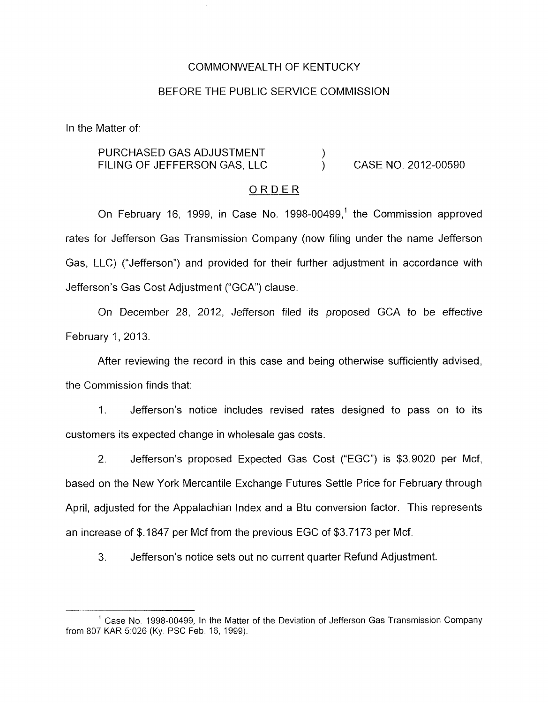#### COMMONWEALTH OF KENTUCKY

#### BEFORE THE PUBLIC SERVICE COMMISSION

In the Matter of:

#### CASE NO. 2012-00590 PURCHASED GAS ADJUSTMENT  $($ FILING OF JEFFERSON GAS, LLC )

#### ORDER

On February 16, 1999, in Case No. 1998-00499,' the Commission approved rates for Jefferson Gas Transmission Company (now filing under the name Jefferson Gas, LLC) ("Jefferson") and provided for their further adjustment in accordance with Jefferson's Gas Cost Adjustment ("GCA") clause.

On December 28, 2012, Jefferson filed its proposed GCA to be effective February 1, 2013.

After reviewing the record in this case and being otherwise sufficiently advised, the Commission finds that:

1. Jefferson's notice includes revised rates designed to pass on to its customers its expected change in wholesale gas costs.

2. Jefferson's proposed Expected Gas Cost ("EGC") is \$3.9020 per Mcf, based on the New York Mercantile Exchange Futures Settle Price for February through April, adjusted for the Appalachian Index and a Btu conversion factor. This represents an increase of \$.I 847 per Mcf from the previous EGC of \$3.7173 per Mcf.

3. Jefferson's notice sets out no current quarter Refund Adjustment.

<sup>&</sup>lt;sup>1</sup> Case No. 1998-00499, In the Matter of the Deviation of Jefferson Gas Transmission Company from 807 KAR 5 026 (Ky PSC Feb 16, 1999).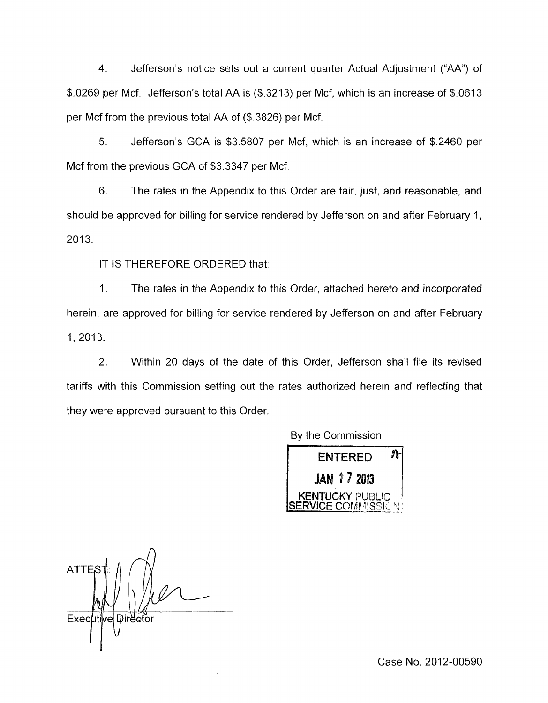4. Jefferson's notice sets out a current quarter Actual Adjustment ("AA") of \$.0269 per Mcf. Jefferson's total AA is (\$.3213) per Mcf, which is an increase of \$.0613 per Mcf from the previous total AA of (\$.3826) per Mcf.

*5.* Jefferson's GCA is \$3.5807 per Mcf, which is an increase of \$.2460 per Mcf from the previous GCA of \$3.3347 per Mcf.

6. The rates in the Appendix to this Order are fair, just, and reasonable, and should be approved for billing for service rendered by Jefferson on and after February 1,  $2013.$ 

IT IS THEREFORE ORDERED that:

1. The rates in the Appendix to this Order, attached hereto and incorporated herein, are approved for billing for service rendered by Jefferson on and after February 1, 2013.

2. Within 20 days of the date of this Order, Jefferson shall file its revised tariffs with this Commission setting out the rates authorized herein and reflecting that they were approved pursuant to this Order.



**ATTES** Executive Director '1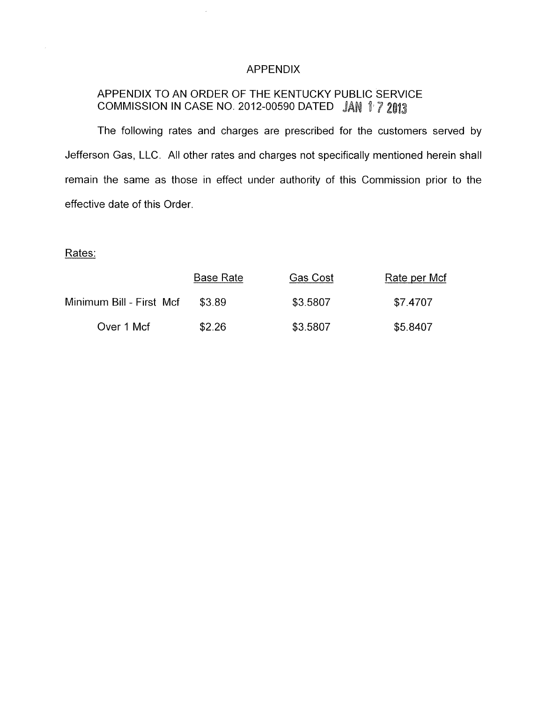### APPENDIX

# APPENDIX TO AN ORDER OF THE KENTUCKY PUBLIC SERVICE COMMISSION IN CASE NO. 2012-00590 DATED JAN 1 7 2013

The following rates and charges are prescribed for the customers served by Jefferson Gas, LLC. All other rates and charges not specifically mentioned herein shall remain the same as those in effect under authority of this Commission prior to the effective date of this Order.

## Rates:

|                          | <b>Base Rate</b> | Gas Cost | Rate per Mcf |
|--------------------------|------------------|----------|--------------|
| Minimum Bill - First Mcf | \$3.89           | \$3.5807 | \$7.4707     |
| Over 1 Mcf               | \$2.26           | \$3.5807 | \$5.8407     |